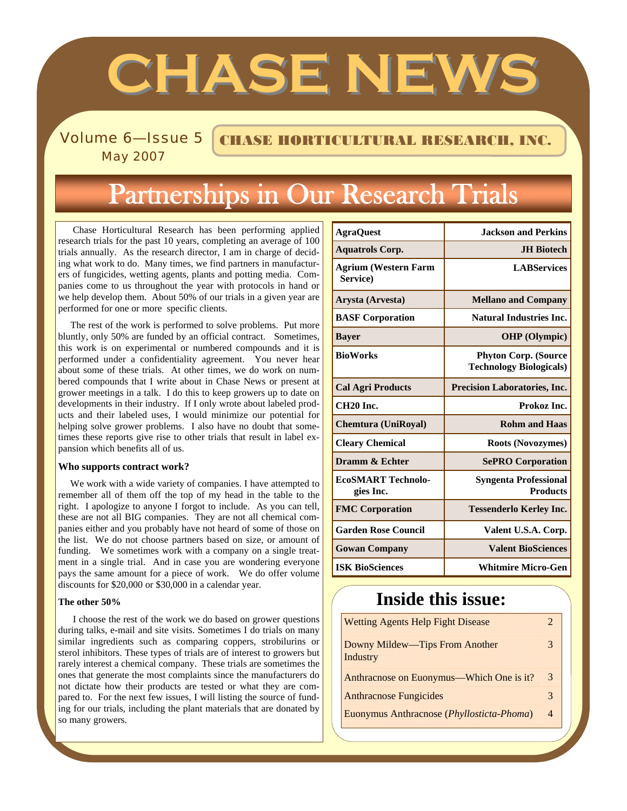# **CHASE NEW**

Volume 6–Issue 5 CHASE HORTICULTURAL RESEARCH, INC.

May 2007

# Partnerships in Our Research Trials

 Chase Horticultural Research has been performing applied research trials for the past 10 years, completing an average of 100 trials annually. As the research director, I am in charge of deciding what work to do. Many times, we find partners in manufacturers of fungicides, wetting agents, plants and potting media. Companies come to us throughout the year with protocols in hand or we help develop them. About 50% of our trials in a given year are performed for one or more specific clients.

 The rest of the work is performed to solve problems. Put more bluntly, only 50% are funded by an official contract. Sometimes, this work is on experimental or numbered compounds and it is performed under a confidentiality agreement. You never hear about some of these trials. At other times, we do work on numbered compounds that I write about in Chase News or present at grower meetings in a talk. I do this to keep growers up to date on developments in their industry. If I only wrote about labeled products and their labeled uses, I would minimize our potential for helping solve grower problems. I also have no doubt that sometimes these reports give rise to other trials that result in label expansion which benefits all of us.

#### **Who supports contract work?**

 We work with a wide variety of companies. I have attempted to remember all of them off the top of my head in the table to the right. I apologize to anyone I forgot to include. As you can tell, these are not all BIG companies. They are not all chemical companies either and you probably have not heard of some of those on the list. We do not choose partners based on size, or amount of funding. We sometimes work with a company on a single treatment in a single trial. And in case you are wondering everyone pays the same amount for a piece of work. We do offer volume discounts for \$20,000 or \$30,000 in a calendar year.

#### **The other 50%**

 I choose the rest of the work we do based on grower questions during talks, e-mail and site visits. Sometimes I do trials on many similar ingredients such as comparing coppers, strobilurins or sterol inhibitors. These types of trials are of interest to growers but rarely interest a chemical company. These trials are sometimes the ones that generate the most complaints since the manufacturers do not dictate how their products are tested or what they are compared to. For the next few issues, I will listing the source of funding for our trials, including the plant materials that are donated by so many growers.

| <b>AgraQuest</b>                        | <b>Jackson and Perkins</b>                                    |  |
|-----------------------------------------|---------------------------------------------------------------|--|
| <b>Aquatrols Corp.</b>                  | <b>JH Biotech</b>                                             |  |
| <b>Agrium (Western Farm</b><br>Service) | <b>LABServices</b>                                            |  |
| Arysta (Arvesta)                        | <b>Mellano and Company</b>                                    |  |
| <b>BASF Corporation</b>                 | <b>Natural Industries Inc.</b>                                |  |
| <b>Bayer</b>                            | <b>OHP</b> (Olympic)                                          |  |
| <b>BioWorks</b>                         | <b>Phyton Corp. (Source</b><br><b>Technology Biologicals)</b> |  |
| <b>Cal Agri Products</b>                | <b>Precision Laboratories, Inc.</b>                           |  |
| CH <sub>20</sub> Inc.                   | Prokoz Inc.                                                   |  |
| <b>Chemtura (UniRoyal)</b>              | <b>Rohm and Haas</b>                                          |  |
| <b>Cleary Chemical</b>                  | <b>Roots (Novozymes)</b>                                      |  |
| Dramm & Echter                          | <b>SePRO Corporation</b>                                      |  |
| <b>ECOSMART Technolo-</b><br>gies Inc.  | <b>Syngenta Professional</b><br><b>Products</b>               |  |
| <b>FMC Corporation</b>                  | <b>Tessenderlo Kerley Inc.</b>                                |  |
| <b>Garden Rose Council</b>              | Valent U.S.A. Corp.                                           |  |
| <b>Gowan Company</b>                    | <b>Valent BioSciences</b>                                     |  |
| <b>ISK BioSciences</b>                  | <b>Whitmire Micro-Gen</b>                                     |  |

## **Inside this issue:**

| <b>Wetting Agents Help Fight Disease</b>          |                |
|---------------------------------------------------|----------------|
| <b>Downy Mildew—Tips From Another</b><br>Industry |                |
| Anthracnose on Euonymus—Which One is it?          | 3              |
| <b>Anthracnose Fungicides</b>                     | 3              |
| Euonymus Anthracnose (Phyllosticta-Phoma)         | $\overline{4}$ |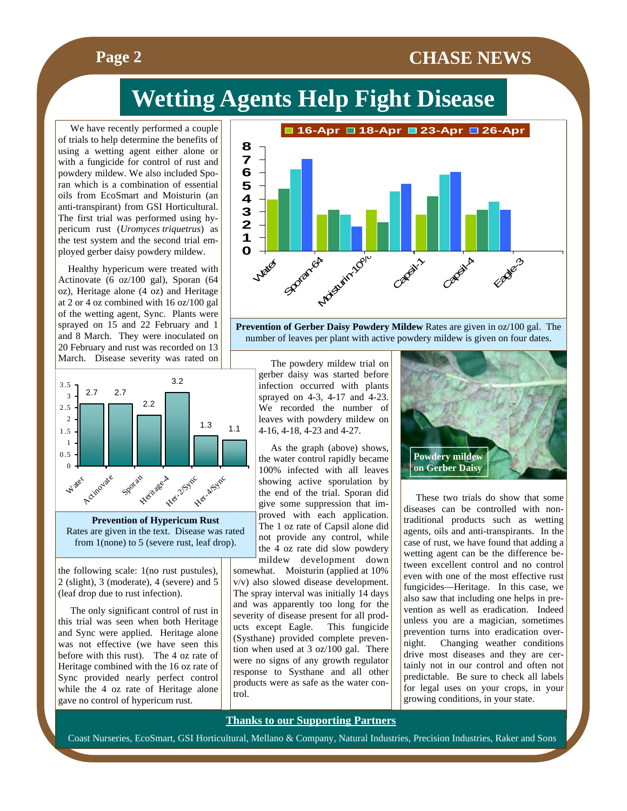### **Page 2** CHASE NEWS

# **Wetting Agents Help Fight Disease**

 We have recently performed a couple of trials to help determine the benefits of using a wetting agent either alone or with a fungicide for control of rust and powdery mildew. We also included Sporan which is a combination of essential oils from EcoSmart and Moisturin (an anti-transpirant) from GSI Horticultural. The first trial was performed using hypericum rust (*Uromyces triquetrus*) as the test system and the second trial employed gerber daisy powdery mildew.

 Healthy hypericum were treated with Actinovate (6 oz/100 gal), Sporan (64 oz), Heritage alone (4 oz) and Heritage at 2 or 4 oz combined with 16 oz/100 gal of the wetting agent, Sync. Plants were sprayed on 15 and 22 February and 1 and 8 March. They were inoculated on 20 February and rust was recorded on 13 March. Disease severity was rated on



**Prevention of Hypericum Rust**  Rates are given in the text. Disease was rated from 1(none) to 5 (severe rust, leaf drop).

the following scale: 1(no rust pustules), 2 (slight), 3 (moderate), 4 (severe) and 5 (leaf drop due to rust infection).

 The only significant control of rust in this trial was seen when both Heritage and Sync were applied. Heritage alone was not effective (we have seen this before with this rust). The 4 oz rate of Heritage combined with the 16 oz rate of Sync provided nearly perfect control while the 4 oz rate of Heritage alone gave no control of hypericum rust.



**Prevention of Gerber Daisy Powdery Mildew** Rates are given in oz/100 gal. The number of leaves per plant with active powdery mildew is given on four dates.

 The powdery mildew trial on gerber daisy was started before infection occurred with plants sprayed on 4-3, 4-17 and 4-23. We recorded the number of leaves with powdery mildew on 4-16, 4-18, 4-23 and 4-27.

 As the graph (above) shows, the water control rapidly became 100% infected with all leaves showing active sporulation by the end of the trial. Sporan did give some suppression that improved with each application. The 1 oz rate of Capsil alone did not provide any control, while the 4 oz rate did slow powdery mildew development down

somewhat. Moisturin (applied at 10% v/v) also slowed disease development. The spray interval was initially 14 days and was apparently too long for the severity of disease present for all products except Eagle. This fungicide (Systhane) provided complete prevention when used at 3 oz/100 gal. There were no signs of any growth regulator response to Systhane and all other products were as safe as the water control.

**Thanks to our Supporting Partners**



 These two trials do show that some diseases can be controlled with nontraditional products such as wetting agents, oils and anti-transpirants. In the case of rust, we have found that adding a wetting agent can be the difference between excellent control and no control even with one of the most effective rust fungicides—Heritage. In this case, we also saw that including one helps in prevention as well as eradication. Indeed unless you are a magician, sometimes prevention turns into eradication overnight. Changing weather conditions drive most diseases and they are certainly not in our control and often not predictable. Be sure to check all labels for legal uses on your crops, in your growing conditions, in your state.

Coast Nurseries, EcoSmart, GSI Horticultural, Mellano & Company, Natural Industries, Precision Industries, Raker and Sons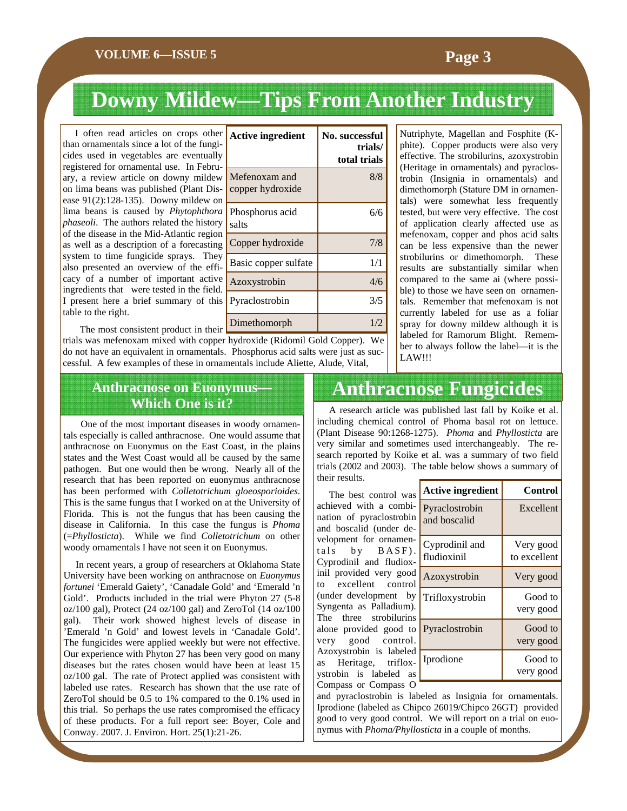#### **VOLUME 6—ISSUE 5 Page 3**

## **Downy Mildew—Tips From Another Industry**

Active ingredient No. successful

Copper hydroxide | 7/8 Basic copper sulfate 1/1 Azoxystrobin 4/6 Pyraclostrobin 3/5

Mefenoxam and copper hydroxide

Phosphorus acid

salts

**trials/ total trials** 

8/8

6/6

I often read articles on crops other than ornamentals since a lot of the fungicides used in vegetables are eventually registered for ornamental use. In February, a review article on downy mildew on lima beans was published (Plant Disease 91(2):128-135). Downy mildew on lima beans is caused by *Phytophthora phaseoli*. The authors related the history of the disease in the Mid-Atlantic region as well as a description of a forecasting system to time fungicide sprays. They also presented an overview of the efficacy of a number of important active ingredients that were tested in the field. I present here a brief summary of this table to the right.

 The most consistent product in their trials was mefenoxam mixed with copper hydroxide (Ridomil Gold Copper). We do not have an equivalent in ornamentals. Phosphorus acid salts were just as successful. A few examples of these in ornamentals include Aliette, Alude, Vital, Dimethomorph  $1/2$ 

Nutriphyte, Magellan and Fosphite (Kphite). Copper products were also very effective. The strobilurins, azoxystrobin (Heritage in ornamentals) and pyraclostrobin (Insignia in ornamentals) and dimethomorph (Stature DM in ornamentals) were somewhat less frequently tested, but were very effective. The cost of application clearly affected use as mefenoxam, copper and phos acid salts can be less expensive than the newer strobilurins or dimethomorph. These results are substantially similar when compared to the same ai (where possible) to those we have seen on ornamentals. Remember that mefenoxam is not currently labeled for use as a foliar spray for downy mildew although it is labeled for Ramorum Blight. Remember to always follow the label—it is the LAW!!!

# **Anthracnose on Euonymus—**

 One of the most important diseases in woody ornamentals especially is called anthracnose. One would assume that anthracnose on Euonymus on the East Coast, in the plains states and the West Coast would all be caused by the same pathogen. But one would then be wrong. Nearly all of the research that has been reported on euonymus anthracnose has been performed with *Colletotrichum gloeosporioides*. This is the same fungus that I worked on at the University of Florida. This is not the fungus that has been causing the disease in California. In this case the fungus is *Phoma* (=*Phyllosticta*). While we find *Colletotrichum* on other woody ornamentals I have not seen it on Euonymus.

 In recent years, a group of researchers at Oklahoma State University have been working on anthracnose on *Euonymus fortunei* 'Emerald Gaiety', 'Canadale Gold' and 'Emerald 'n Gold'. Products included in the trial were Phyton 27 (5-8 oz/100 gal), Protect (24 oz/100 gal) and ZeroTol (14 oz/100 gal). Their work showed highest levels of disease in 'Emerald 'n Gold' and lowest levels in 'Canadale Gold'. The fungicides were applied weekly but were not effective. Our experience with Phyton 27 has been very good on many diseases but the rates chosen would have been at least 15 oz/100 gal. The rate of Protect applied was consistent with labeled use rates. Research has shown that the use rate of ZeroTol should be 0.5 to 1% compared to the 0.1% used in this trial. So perhaps the use rates compromised the efficacy of these products. For a full report see: Boyer, Cole and Conway. 2007. J. Environ. Hort. 25(1):21-26.

## **Anthracnose Fungicides**

**Which One is it?** A research article was published last fall by Koike et al. including chemical control of Phoma basal rot on lettuce. (Plant Disease 90:1268-1275). *Phoma* and *Phyllosticta* are very similar and sometimes used interchangeably. The research reported by Koike et al. was a summary of two field trials (2002 and 2003). The table below shows a summary of their results.

> The best control was achieved with a combination of pyraclostrobin and boscalid (under development for ornamentals by BASF) Cyprodinil and fludioxinil provided very good to excellent control (under development by Syngenta as Palladium). The three strobilurins alone provided good to very good control. Azoxystrobin is labeled as Heritage, trifloxystrobin is labeled as Compass or Compass O

| Ś            | <b>Active ingredient</b>       | Control                   |
|--------------|--------------------------------|---------------------------|
| Ē<br>n       | Pyraclostrobin<br>and boscalid | Excellent                 |
| <b>-</b>     | Cyprodinil and<br>fludioxinil  | Very good<br>to excellent |
| d<br>١l      | Azoxystrobin                   | Very good                 |
| y<br>١.<br>Ś | Trifloxystrobin                | Good to<br>very good      |
| O<br>l.      | Pyraclostrobin                 | Good to<br>very good      |
| d<br>÷,<br>Ś | Iprodione                      | Good to<br>very good      |

and pyraclostrobin is labeled as Insignia for ornamentals. Iprodione (labeled as Chipco 26019/Chipco 26GT) provided good to very good control. We will report on a trial on euonymus with *Phoma/Phyllosticta* in a couple of months.